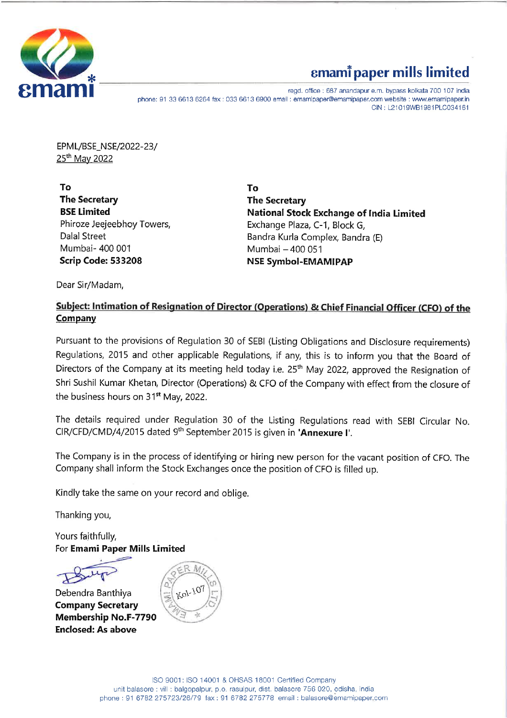

## emami paper mills limited<br> **emami paper mills limited**<br>
eggd. office : 687 anandapur e.m. bypass kolkata 700 107 india

phone: 91 33 6613 6264 fax : 033 6613 6900 email : emamipaper@emamipaper.com website : www.emamipaper.in CIN : L21019WB19814PLC034161

EPML/BSE\_NSE/2022-23/ 25<sup>th</sup> May 2022

[ Hotel State State State State State State State State State State State State State State State State State

To To The Secretary **The Secretary** Mumbai- 400 001 Mumbai — 400 051 Scrip Code: 533208 NSE Symbol-EMAMIPAP

BSE Limited **National Stock Exchange of India Limited** Phiroze Jeejeebhoy Towers, Exchange Plaza, C-1, Block G, Dalal Street **Bandra Kurla Complex, Bandra (E)** 

Dear Sir/Madam,

## Subject: Intimation of Resignation of Director (Operations) & Chief Financial Officer (CFO) of the **Company**

Pursuant to the provisions of Regulation 30 of SEBI (Listing Obligations and Disclosure requirements) Regulations, 2015 and other applicable Regulations, if any, this is to inform you that the Board of Directors of the Company at its meeting held today i.e. 25<sup>th</sup> May 2022, approved the Resignation of Shri Sushil Kumar Khetan, Director (Operations) & CFO of the Company with effect from the closure of the business hours on 31<sup>st</sup> May, 2022.

The details required under Regulation 30 of the Listing Regulations read with SEBI Circular No. CIR/CFD/CMD/4/2015 dated 9<sup>th</sup> September 2015 is given in 'Annexure I'.

The Company is in the process of identifying or hiring new person for the vacant position of CFO. The Company shall inform the Stock Exchanges once the position of CFO is filled up.

Kindly take the same on your record and oblige.

Thanking you,

Yours faithfully, For Emami Paper Mills Limited Yours faithfully,<br>For **Emami Paper I** 

Debendra Banthiya Company Secretary Membership No.F-7790 Enclosed: As above